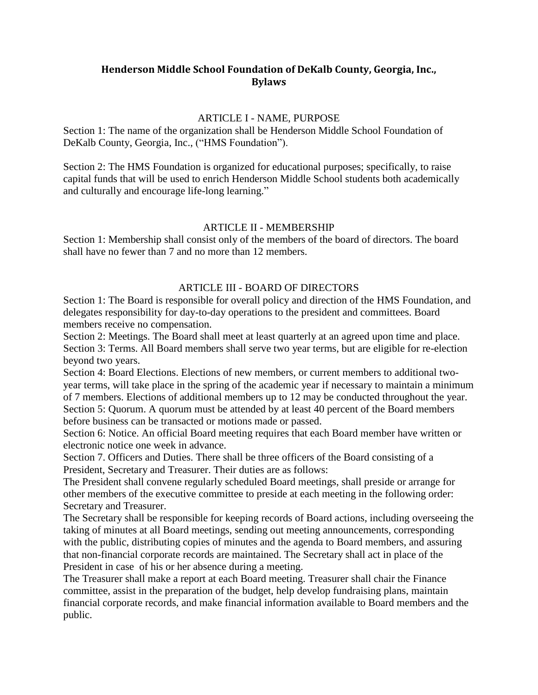# **Henderson Middle School Foundation of DeKalb County, Georgia, Inc., Bylaws**

### ARTICLE I - NAME, PURPOSE

Section 1: The name of the organization shall be Henderson Middle School Foundation of DeKalb County, Georgia, Inc., ("HMS Foundation").

Section 2: The HMS Foundation is organized for educational purposes; specifically, to raise capital funds that will be used to enrich Henderson Middle School students both academically and culturally and encourage life-long learning."

### ARTICLE II - MEMBERSHIP

Section 1: Membership shall consist only of the members of the board of directors. The board shall have no fewer than 7 and no more than 12 members.

## ARTICLE III - BOARD OF DIRECTORS

Section 1: The Board is responsible for overall policy and direction of the HMS Foundation, and delegates responsibility for day-to-day operations to the president and committees. Board members receive no compensation.

Section 2: Meetings. The Board shall meet at least quarterly at an agreed upon time and place. Section 3: Terms. All Board members shall serve two year terms, but are eligible for re-election beyond two years.

Section 4: Board Elections. Elections of new members, or current members to additional twoyear terms, will take place in the spring of the academic year if necessary to maintain a minimum of 7 members. Elections of additional members up to 12 may be conducted throughout the year. Section 5: Quorum. A quorum must be attended by at least 40 percent of the Board members before business can be transacted or motions made or passed.

Section 6: Notice. An official Board meeting requires that each Board member have written or electronic notice one week in advance.

Section 7. Officers and Duties. There shall be three officers of the Board consisting of a President, Secretary and Treasurer. Their duties are as follows:

The President shall convene regularly scheduled Board meetings, shall preside or arrange for other members of the executive committee to preside at each meeting in the following order: Secretary and Treasurer.

The Secretary shall be responsible for keeping records of Board actions, including overseeing the taking of minutes at all Board meetings, sending out meeting announcements, corresponding with the public, distributing copies of minutes and the agenda to Board members, and assuring that non-financial corporate records are maintained. The Secretary shall act in place of the President in case of his or her absence during a meeting.

The Treasurer shall make a report at each Board meeting. Treasurer shall chair the Finance committee, assist in the preparation of the budget, help develop fundraising plans, maintain financial corporate records, and make financial information available to Board members and the public.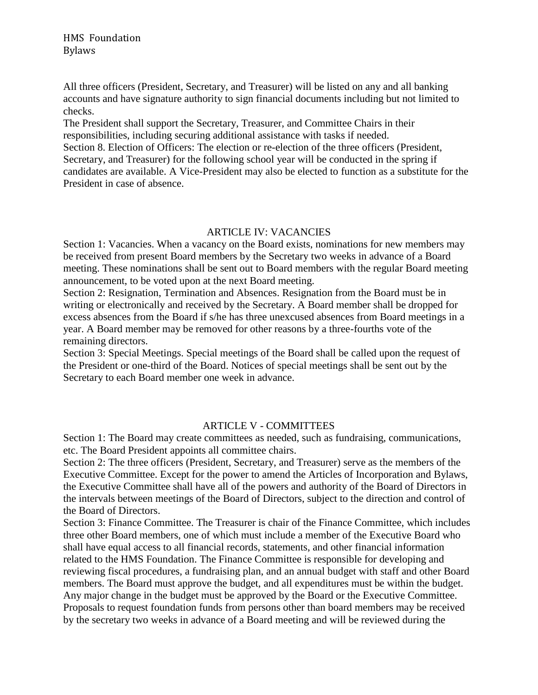All three officers (President, Secretary, and Treasurer) will be listed on any and all banking accounts and have signature authority to sign financial documents including but not limited to checks.

The President shall support the Secretary, Treasurer, and Committee Chairs in their responsibilities, including securing additional assistance with tasks if needed. Section 8. Election of Officers: The election or re-election of the three officers (President, Secretary, and Treasurer) for the following school year will be conducted in the spring if candidates are available. A Vice-President may also be elected to function as a substitute for the President in case of absence.

### ARTICLE IV: VACANCIES

Section 1: Vacancies. When a vacancy on the Board exists, nominations for new members may be received from present Board members by the Secretary two weeks in advance of a Board meeting. These nominations shall be sent out to Board members with the regular Board meeting announcement, to be voted upon at the next Board meeting.

Section 2: Resignation, Termination and Absences. Resignation from the Board must be in writing or electronically and received by the Secretary. A Board member shall be dropped for excess absences from the Board if s/he has three unexcused absences from Board meetings in a year. A Board member may be removed for other reasons by a three-fourths vote of the remaining directors.

Section 3: Special Meetings. Special meetings of the Board shall be called upon the request of the President or one-third of the Board. Notices of special meetings shall be sent out by the Secretary to each Board member one week in advance.

## ARTICLE V - COMMITTEES

Section 1: The Board may create committees as needed, such as fundraising, communications, etc. The Board President appoints all committee chairs.

Section 2: The three officers (President, Secretary, and Treasurer) serve as the members of the Executive Committee. Except for the power to amend the Articles of Incorporation and Bylaws, the Executive Committee shall have all of the powers and authority of the Board of Directors in the intervals between meetings of the Board of Directors, subject to the direction and control of the Board of Directors.

Section 3: Finance Committee. The Treasurer is chair of the Finance Committee, which includes three other Board members, one of which must include a member of the Executive Board who shall have equal access to all financial records, statements, and other financial information related to the HMS Foundation. The Finance Committee is responsible for developing and reviewing fiscal procedures, a fundraising plan, and an annual budget with staff and other Board members. The Board must approve the budget, and all expenditures must be within the budget. Any major change in the budget must be approved by the Board or the Executive Committee. Proposals to request foundation funds from persons other than board members may be received by the secretary two weeks in advance of a Board meeting and will be reviewed during the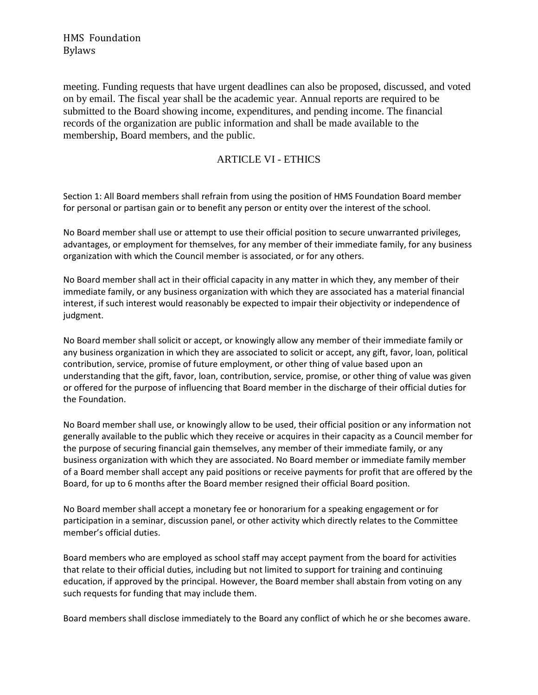HMS Foundation Bylaws

meeting. Funding requests that have urgent deadlines can also be proposed, discussed, and voted on by email. The fiscal year shall be the academic year. Annual reports are required to be submitted to the Board showing income, expenditures, and pending income. The financial records of the organization are public information and shall be made available to the membership, Board members, and the public.

# ARTICLE VI - ETHICS

Section 1: All Board members shall refrain from using the position of HMS Foundation Board member for personal or partisan gain or to benefit any person or entity over the interest of the school.

No Board member shall use or attempt to use their official position to secure unwarranted privileges, advantages, or employment for themselves, for any member of their immediate family, for any business organization with which the Council member is associated, or for any others.

No Board member shall act in their official capacity in any matter in which they, any member of their immediate family, or any business organization with which they are associated has a material financial interest, if such interest would reasonably be expected to impair their objectivity or independence of judgment.

No Board member shall solicit or accept, or knowingly allow any member of their immediate family or any business organization in which they are associated to solicit or accept, any gift, favor, loan, political contribution, service, promise of future employment, or other thing of value based upon an understanding that the gift, favor, loan, contribution, service, promise, or other thing of value was given or offered for the purpose of influencing that Board member in the discharge of their official duties for the Foundation.

No Board member shall use, or knowingly allow to be used, their official position or any information not generally available to the public which they receive or acquires in their capacity as a Council member for the purpose of securing financial gain themselves, any member of their immediate family, or any business organization with which they are associated. No Board member or immediate family member of a Board member shall accept any paid positions or receive payments for profit that are offered by the Board, for up to 6 months after the Board member resigned their official Board position.

No Board member shall accept a monetary fee or honorarium for a speaking engagement or for participation in a seminar, discussion panel, or other activity which directly relates to the Committee member's official duties.

Board members who are employed as school staff may accept payment from the board for activities that relate to their official duties, including but not limited to support for training and continuing education, if approved by the principal. However, the Board member shall abstain from voting on any such requests for funding that may include them.

Board members shall disclose immediately to the Board any conflict of which he or she becomes aware.